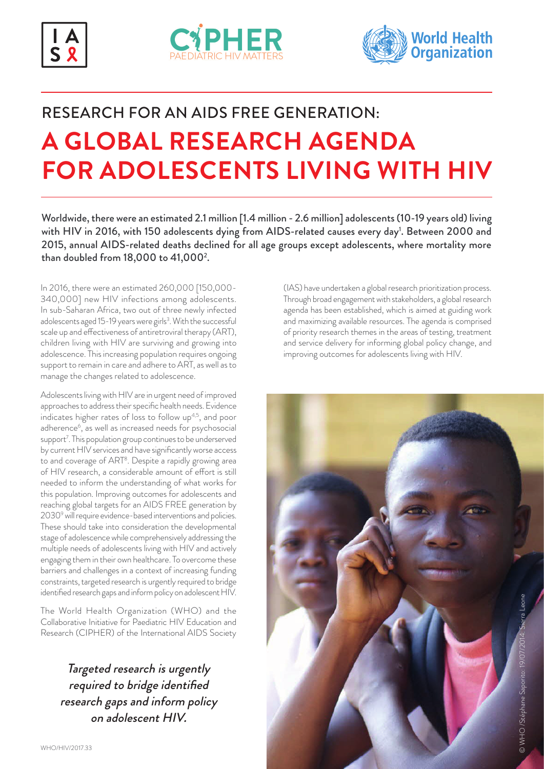





# RESEARCH FOR AN AIDS FREE GENERATION: **A GLOBAL RESEARCH AGENDA FOR ADOLESCENTS LIVING WITH HIV**

Worldwide, there were an estimated 2.1 million [1.4 million - 2.6 million] adolescents (10-19 years old) living with HIV in 2016, with 150 adolescents dying from AIDS-related causes every day<sup>1</sup>. Between 2000 and 2015, annual AIDS-related deaths declined for all age groups except adolescents, where mortality more than doubled from 18,000 to 41,0002 .

In 2016, there were an estimated 260,000 [150,000- 340,000] new HIV infections among adolescents. In sub-Saharan Africa, two out of three newly infected adolescents aged 15-19 years were girls<sup>3</sup>. With the successful scale up and effectiveness of antiretroviral therapy (ART), children living with HIV are surviving and growing into adolescence. This increasing population requires ongoing support to remain in care and adhere to ART, as well as to manage the changes related to adolescence.

Adolescents living with HIV are in urgent need of improved approaches to address their specific health needs. Evidence indicates higher rates of loss to follow up<sup>4,5</sup>, and poor adherence<sup>6</sup>, as well as increased needs for psychosocial support<sup>7</sup>. This population group continues to be underserved by current HIV services and have significantly worse access to and coverage of ART<sup>8</sup>. Despite a rapidly growing area of HIV research, a considerable amount of effort is still needed to inform the understanding of what works for this population. Improving outcomes for adolescents and reaching global targets for an AIDS FREE generation by 2030<sup>9</sup> will require evidence-based interventions and policies. These should take into consideration the developmental stage of adolescence while comprehensively addressing the multiple needs of adolescents living with HIV and actively engaging them in their own healthcare. To overcome these barriers and challenges in a context of increasing funding constraints, targeted research is urgently required to bridge identified research gaps and inform policy on adolescent HIV.

The World Health Organization (WHO) and the Collaborative Initiative for Paediatric HIV Education and Research (CIPHER) of the International AIDS Society

Targeted research is urgently required to bridge identified research gaps and inform policy on adolescent HIV.

(IAS) have undertaken a global research prioritization process. Through broad engagement with stakeholders, a global research agenda has been established, which is aimed at guiding work and maximizing available resources. The agenda is comprised of priority research themes in the areas of testing, treatment and service delivery for informing global policy change, and improving outcomes for adolescents living with HIV.

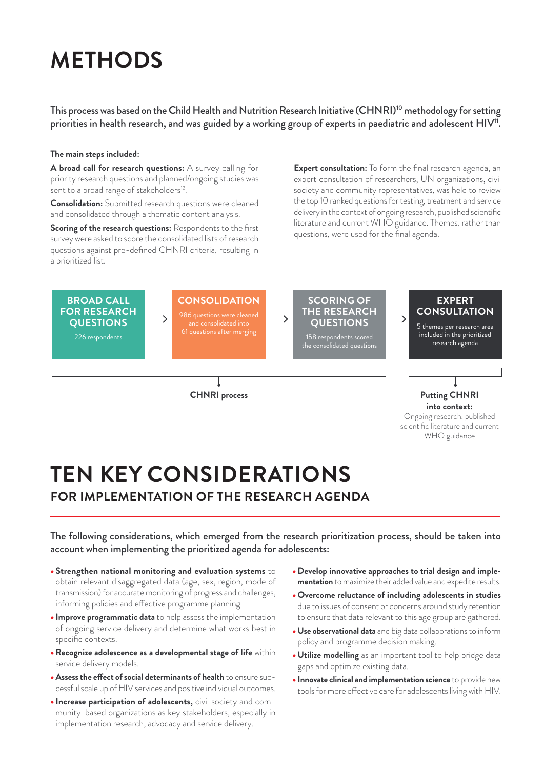# **METHODS**

This process was based on the Child Health and Nutrition Research Initiative (CHNRI)<sup>10</sup> methodology for setting priorities in health research, and was guided by a working group of experts in paediatric and adolescent HIV<sup>11</sup>.

#### **The main steps included:**

**A broad call for research questions:** A survey calling for priority research questions and planned/ongoing studies was sent to a broad range of stakeholders<sup>12</sup>.

**Consolidation:** Submitted research questions were cleaned and consolidated through a thematic content analysis.

**Scoring of the research questions:** Respondents to the first survey were asked to score the consolidated lists of research questions against pre-defined CHNRI criteria, resulting in a prioritized list.

**Expert consultation:** To form the final research agenda, an expert consultation of researchers, UN organizations, civil society and community representatives, was held to review the top 10 ranked questions for testing, treatment and service delivery in the context of ongoing research, published scientific literature and current WHO guidance. Themes, rather than questions, were used for the final agenda.



# **TEN KEY CONSIDERATIONS FOR IMPLEMENTATION OF THE RESEARCH AGENDA**

The following considerations, which emerged from the research prioritization process, should be taken into account when implementing the prioritized agenda for adolescents:

- **Strengthen national monitoring and evaluation systems** to obtain relevant disaggregated data (age, sex, region, mode of transmission) for accurate monitoring of progress and challenges, informing policies and effective programme planning.
- **Improve programmatic data** to help assess the implementation of ongoing service delivery and determine what works best in specific contexts.
- •**Recognize adolescence as a developmental stage of life** within service delivery models.
- •**Assess the effect of social determinants of health** to ensure successful scale up of HIV services and positive individual outcomes.
- **Increase participation of adolescents,** civil society and community-based organizations as key stakeholders, especially in implementation research, advocacy and service delivery.
- **Develop innovative approaches to trial design and implementation** to maximize their added value and expedite results.
- **Overcome reluctance of including adolescents in studies**  due to issues of consent or concerns around study retention to ensure that data relevant to this age group are gathered.
- **Use observational data** and big data collaborations to inform policy and programme decision making.
- **Utilize modelling** as an important tool to help bridge data gaps and optimize existing data.
- **Innovate clinical and implementation science** to provide new tools for more effective care for adolescents living with HIV.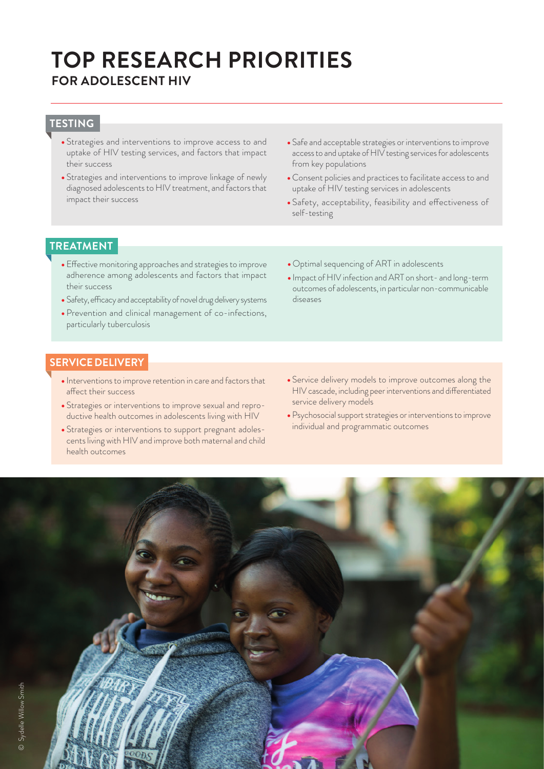# **TOP RESEARCH PRIORITIES FOR ADOLESCENT HIV**

### **TESTING**

- Strategies and interventions to improve access to and uptake of HIV testing services, and factors that impact their success
- Strategies and interventions to improve linkage of newly diagnosed adolescents to HIV treatment, and factors that impact their success
- Safe and acceptable strategies or interventions to improve access to and uptake of HIV testing services for adolescents from key populations
- Consent policies and practices to facilitate access to and uptake of HIV testing services in adolescents
- Safety, acceptability, feasibility and effectiveness of self-testing

#### **TREATMENT**

- Effective monitoring approaches and strategies to improve adherence among adolescents and factors that impact their success
- Safety, efficacy and acceptability of novel drug delivery systems
- Prevention and clinical management of co-infections, particularly tuberculosis
- Optimal sequencing of ART in adolescents
- Impact of HIV infection and ART on short- and long-term outcomes of adolescents, in particular non-communicable diseases

#### **SERVICE DELIVERY**

- Interventions to improve retention in care and factors that affect their success
- Strategies or interventions to improve sexual and reproductive health outcomes in adolescents living with HIV
- Strategies or interventions to support pregnant adolescents living with HIV and improve both maternal and child health outcomes
- Service delivery models to improve outcomes along the HIV cascade, including peer interventions and differentiated service delivery models
- Psychosocial support strategies or interventions to improve individual and programmatic outcomes